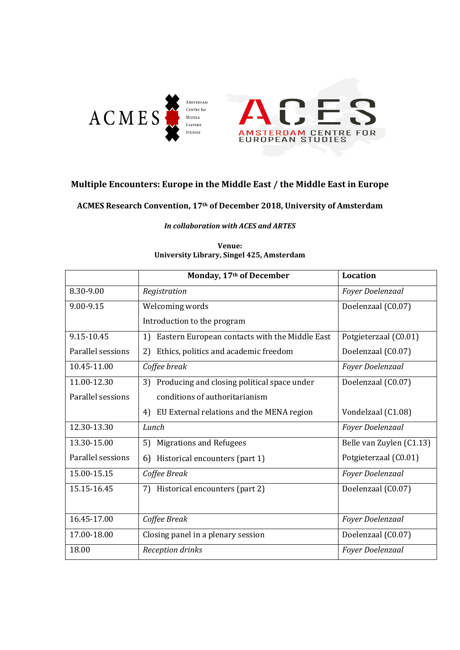



#### **Multiple Encounters: Europe in the Middle East / the Middle East in Europe**

**ACMES Research Convention, 17th of December 2018, University of Amsterdam**

#### *In collaboration with ACES and ARTES*

|                   | Monday, 17th of December                             | Location                 |
|-------------------|------------------------------------------------------|--------------------------|
| 8.30-9.00         | Registration                                         | Foyer Doelenzaal         |
| 9.00-9.15         | Welcoming words                                      | Doelenzaal (C0.07)       |
|                   | Introduction to the program                          |                          |
| 9.15-10.45        | Eastern European contacts with the Middle East<br>1) | Potgieterzaal (C0.01)    |
| Parallel sessions | Ethics, politics and academic freedom<br>2)          | Doelenzaal (C0.07)       |
| 10.45-11.00       | Coffee break                                         | Foyer Doelenzaal         |
| 11.00-12.30       | 3) Producing and closing political space under       | Doelenzaal (C0.07)       |
| Parallel sessions | conditions of authoritarianism                       |                          |
|                   | EU External relations and the MENA region<br>4)      | Vondelzaal (C1.08)       |
| 12.30-13.30       | Lunch                                                | Foyer Doelenzaal         |
| 13.30-15.00       | <b>Migrations and Refugees</b><br>5)                 | Belle van Zuylen (C1.13) |
| Parallel sessions | Historical encounters (part 1)<br>6)                 | Potgieterzaal (C0.01)    |
| 15.00-15.15       | Coffee Break                                         | Foyer Doelenzaal         |
| 15.15-16.45       | Historical encounters (part 2)<br>7).                | Doelenzaal (C0.07)       |
| 16.45-17.00       | Coffee Break                                         | Foyer Doelenzaal         |
| 17.00-18.00       | Closing panel in a plenary session                   | Doelenzaal (C0.07)       |
| 18.00             | <b>Reception drinks</b>                              | Foyer Doelenzaal         |

#### **Venue: University Library, Singel 425, Amsterdam**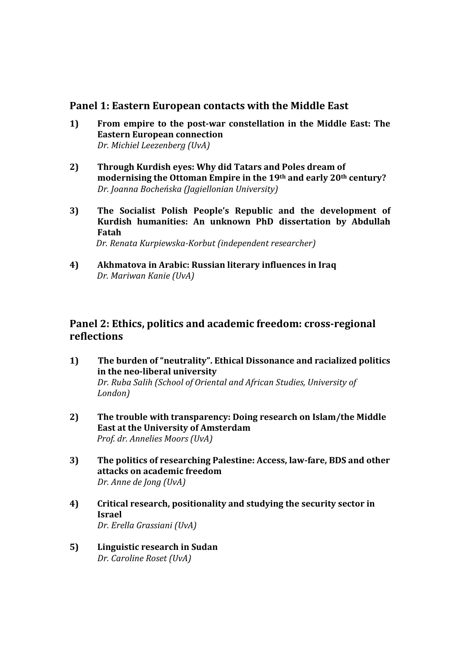#### **Panel 1: Eastern European contacts with the Middle East**

- **1) From empire to the post-war constellation in the Middle East: The Eastern European connection**  *Dr. Michiel Leezenberg (UvA)*
- **2) Through Kurdish eyes: Why did Tatars and Poles dream of modernising the Ottoman Empire in the 19th and early 20th century?** *Dr. Joanna Bocheńska (Jagiellonian University)*
- **3) The Socialist Polish People's Republic and the development of Kurdish humanities: An unknown PhD dissertation by Abdullah Fatah**  *Dr. Renata Kurpiewska-Korbut (independent researcher)*
- **4) Akhmatova in Arabic: Russian literary influences in Iraq** *Dr. Mariwan Kanie (UvA)*

## **Panel 2: Ethics, politics and academic freedom: cross-regional reflections**

- **1)****The burden of "neutrality". Ethical Dissonance and racialized politics in the neo-liberal university**  *Dr. Ruba Salih (School of Oriental and African Studies, University of London)*
- **2) The trouble with transparency: Doing research on Islam/the Middle East at the University of Amsterdam**  *Prof. dr. Annelies Moors (UvA)*
- **3) The politics of researching Palestine: Access, law-fare, BDS and other attacks on academic freedom** *Dr. Anne de Jong (UvA)*
- **4) Critical research, positionality and studying the security sector in Israel** *Dr. Erella Grassiani (UvA)*
- **5) Linguistic research in Sudan** *Dr. Caroline Roset (UvA)*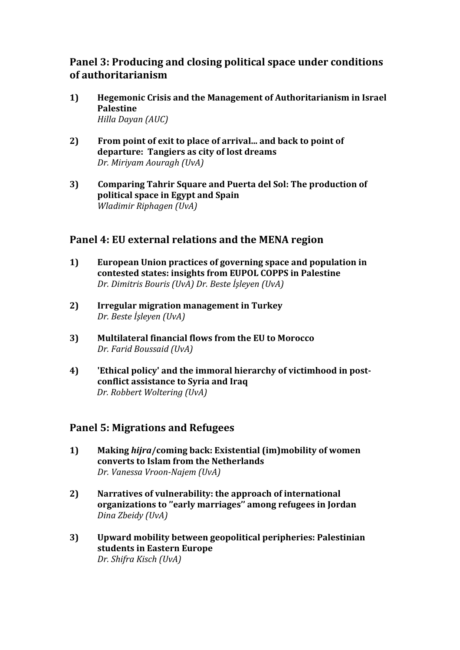## **Panel 3: Producing and closing political space under conditions of authoritarianism**

- **1) Hegemonic Crisis and the Management of Authoritarianism in Israel Palestine** *Hilla Dayan (AUC)*
- **2) From point of exit to place of arrival... and back to point of departure: Tangiers as city of lost dreams** *Dr. Miriyam Aouragh (UvA)*
- **3) Comparing Tahrir Square and Puerta del Sol: The production of political space in Egypt and Spain** *Wladimir Riphagen (UvA)*

### **Panel 4: EU external relations and the MENA region**

- **1) European Union practices of governing space and population in contested states: insights from EUPOL COPPS in Palestine** *Dr. Dimitris Bouris (UvA) Dr. Beste İşleyen (UvA)*
- **2) Irregular migration management in Turkey** *Dr. Beste İşleyen (UvA)*
- **3) Multilateral financial flows from the EU to Morocco** *Dr. Farid Boussaid (UvA)*
- **4) 'Ethical policy' and the immoral hierarchy of victimhood in postconflict assistance to Syria and Iraq** *Dr. Robbert Woltering (UvA)*

### **Panel 5: Migrations and Refugees**

- **1) Making** *hijra***/coming back: Existential (im)mobility of women converts to Islam from the Netherlands** *Dr. Vanessa Vroon-Najem (UvA)*
- **2) Narratives of vulnerability: the approach of international organizations to ''early marriages'' among refugees in Jordan** *Dina Zbeidy (UvA)*
- **3) Upward mobility between geopolitical peripheries: Palestinian students in Eastern Europe** *Dr. Shifra Kisch (UvA)*